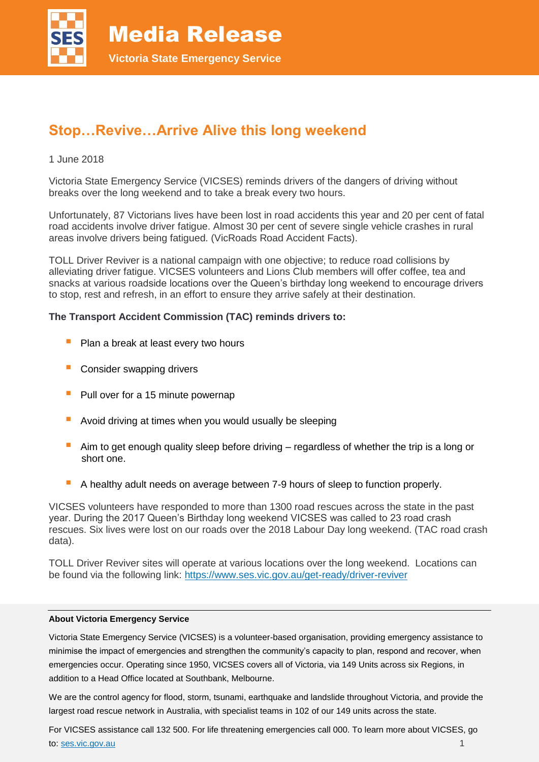

# **Stop…Revive…Arrive Alive this long weekend**

# 1 June 2018

Victoria State Emergency Service (VICSES) reminds drivers of the dangers of driving without breaks over the long weekend and to take a break every two hours.

Unfortunately, 87 Victorians lives have been lost in road accidents this year and 20 per cent of fatal road accidents involve driver fatigue. Almost 30 per cent of severe single vehicle crashes in rural areas involve drivers being fatigued. (VicRoads Road Accident Facts).

TOLL Driver Reviver is a national campaign with one objective; to reduce road collisions by alleviating driver fatigue. VICSES volunteers and Lions Club members will offer coffee, tea and snacks at various roadside locations over the Queen's birthday long weekend to encourage drivers to stop, rest and refresh, in an effort to ensure they arrive safely at their destination.

# **The Transport Accident Commission (TAC) reminds drivers to:**

- **Plan a break at least every two hours**
- **Consider swapping drivers**
- $\blacksquare$  Pull over for a 15 minute powernap
- **Avoid driving at times when you would usually be sleeping**
- Aim to get enough quality sleep before driving regardless of whether the trip is a long or short one.
- A healthy adult needs on average between 7-9 hours of sleep to function properly.

VICSES volunteers have responded to more than 1300 road rescues across the state in the past year. During the 2017 Queen's Birthday long weekend VICSES was called to 23 road crash rescues. Six lives were lost on our roads over the 2018 Labour Day long weekend. (TAC road crash data).

TOLL Driver Reviver sites will operate at various locations over the long weekend. Locations can be found via the following link:<https://www.ses.vic.gov.au/get-ready/driver-reviver>

#### **About Victoria Emergency Service**

Victoria State Emergency Service (VICSES) is a volunteer-based organisation, providing emergency assistance to minimise the impact of emergencies and strengthen the community's capacity to plan, respond and recover, when emergencies occur. Operating since 1950, VICSES covers all of Victoria, via 149 Units across six Regions, in addition to a Head Office located at Southbank, Melbourne.

We are the control agency for flood, storm, tsunami, earthquake and landslide throughout Victoria, and provide the largest road rescue network in Australia, with specialist teams in 102 of our 149 units across the state.

For VICSES assistance call 132 500. For life threatening emergencies call 000. To learn more about VICSES, go to: [ses.vic.gov.au](https://www.ses.vic.gov.au/) 1